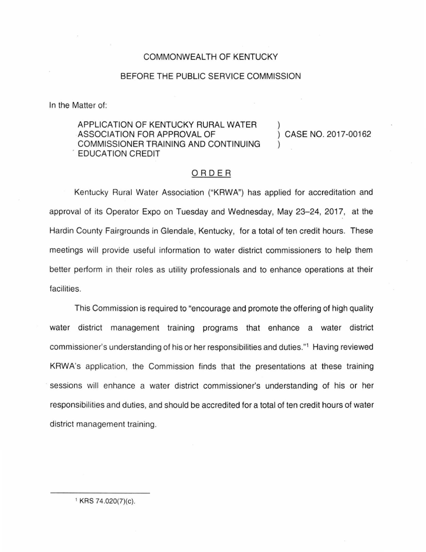## COMMONWEALTH OF KENTUCKY

### BEFORE THE PUBLIC SERVICE COMMISSION

In the Matter of:

# APPLICATION OF KENTUCKY RURAL WATER ASSOCIATION FOR APPROVAL OF COMMISSIONER TRAINING AND CONTINUING . EDUCATION CREDIT

CASE NO. 2017-00162

## ORDER

Kentucky Rural Water Association ("KRWA") has applied for accreditation and approval of its Operator Expo on Tuesday and Wednesday, May 23-24, 2017, at the Hardin County Fairgrounds in Glendale, Kentucky, for a total of ten credit hours. These meetings will provide useful information to water district commissioners to help them better perform in their roles as utility professionals and to enhance operations at their facilities.

This Commission is required to "encourage and promote the offering of high quality water district management training programs that enhance a water district commissioner's understanding of his or her responsibilities and duties."<sup>1</sup> Having reviewed KRWA's application, the Commission finds that the presentations at these training sessions will enhance a water district commissioner's understanding of his or her responsibilities and duties, and should be accredited for a total of ten credit hours of water district management training.

1 KRS 74.020(7)(c).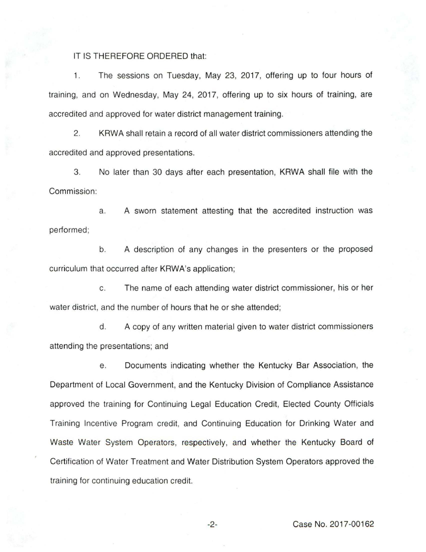### IT IS THEREFORE ORDERED that:

1. The sessions on Tuesday, May 23, 2017, offering up to four hours of training, and on Wednesday, May 24, 2017, offering up to six hours of training, are accredited and approved for water district management training.

2. KRWA shall retain a record of all water district commissioners attending the accredited and approved presentations.

3. No later than 30 days after each presentation, KRWA shall file with the Commission:

a. A sworn statement attesting that the accredited instruction was performed;

b. A description of any changes in the presenters or the proposed curriculum that occurred after KRWA's application;

c. The name of each attending water district commissioner, his or her water district, and the number of hours that he or she attended;

d. A copy of any written material given to water district commissioners attending the presentations; and

e. Documents indicating whether the Kentucky Bar Association, the Department of Local Government, and the Kentucky Division of Compliance Assistance approved the training for Continuing Legal Education Credit, Elected County Officials Training Incentive Program credit, and Continuing Education for Drinking Water and Waste Water System Operators, respectively, and whether the Kentucky Board of Certification of Water Treatment and Water Distribution System Operators approved the training for continuing education credit.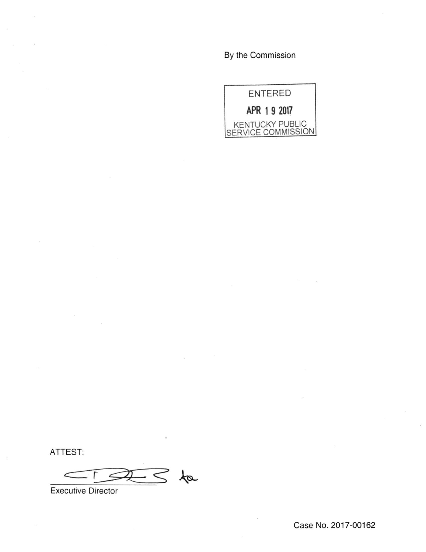By the Commission



ATTEST:

 $\leq$  fa  $\subset$ 

Executive Director